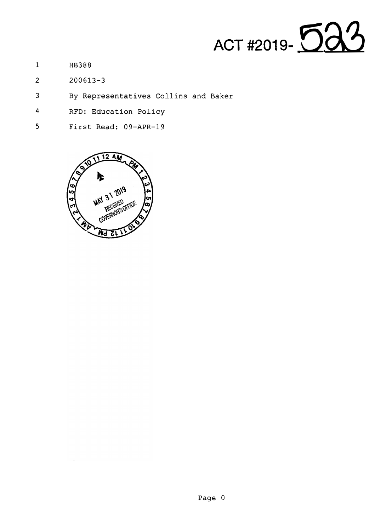

- 1 HB388
- 2 200613-3
- 3 By Representatives Collins and Baker
- 4 RFD: Education Policy
- 5 First Read: 09-APR-19

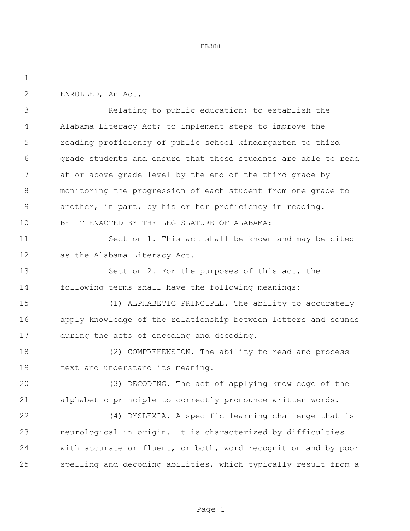| ۰.  |
|-----|
| . . |

ENROLLED, An Act,

 Relating to public education; to establish the Alabama Literacy Act; to implement steps to improve the reading proficiency of public school kindergarten to third grade students and ensure that those students are able to read at or above grade level by the end of the third grade by monitoring the progression of each student from one grade to another, in part, by his or her proficiency in reading. BE IT ENACTED BY THE LEGISLATURE OF ALABAMA: 11 Section 1. This act shall be known and may be cited

as the Alabama Literacy Act.

 Section 2. For the purposes of this act, the following terms shall have the following meanings:

 (1) ALPHABETIC PRINCIPLE. The ability to accurately apply knowledge of the relationship between letters and sounds during the acts of encoding and decoding.

 (2) COMPREHENSION. The ability to read and process text and understand its meaning.

 (3) DECODING. The act of applying knowledge of the alphabetic principle to correctly pronounce written words.

 (4) DYSLEXIA. A specific learning challenge that is neurological in origin. It is characterized by difficulties with accurate or fluent, or both, word recognition and by poor spelling and decoding abilities, which typically result from a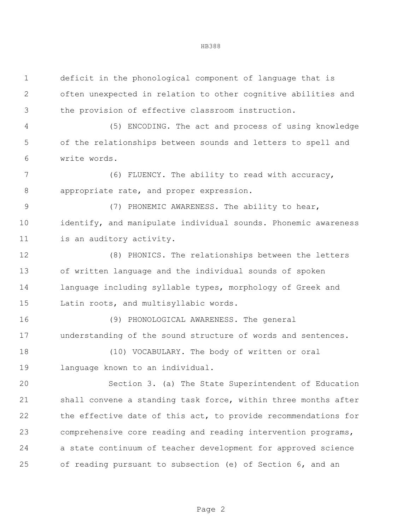| $\mathbf 1$  | deficit in the phonological component of language that is      |
|--------------|----------------------------------------------------------------|
| $\mathbf{2}$ | often unexpected in relation to other cognitive abilities and  |
| 3            | the provision of effective classroom instruction.              |
| 4            | (5) ENCODING. The act and process of using knowledge           |
| 5            | of the relationships between sounds and letters to spell and   |
| 6            | write words.                                                   |
| 7            | (6) FLUENCY. The ability to read with accuracy,                |
| $8\,$        | appropriate rate, and proper expression.                       |
| $\mathsf 9$  | (7) PHONEMIC AWARENESS. The ability to hear,                   |
| 10           | identify, and manipulate individual sounds. Phonemic awareness |
| 11           | is an auditory activity.                                       |
| 12           | (8) PHONICS. The relationships between the letters             |
| 13           | of written language and the individual sounds of spoken        |
| 14           | language including syllable types, morphology of Greek and     |
| 15           | Latin roots, and multisyllabic words.                          |
| 16           | (9) PHONOLOGICAL AWARENESS. The general                        |
| 17           | understanding of the sound structure of words and sentences.   |
| 18           | (10) VOCABULARY. The body of written or oral                   |
| 19           | language known to an individual.                               |
| 20           | Section 3. (a) The State Superintendent of Education           |
| 21           | shall convene a standing task force, within three months after |
| 22           | the effective date of this act, to provide recommendations for |
| 23           | comprehensive core reading and reading intervention programs,  |
| 24           | a state continuum of teacher development for approved science  |
| 25           | of reading pursuant to subsection (e) of Section 6, and an     |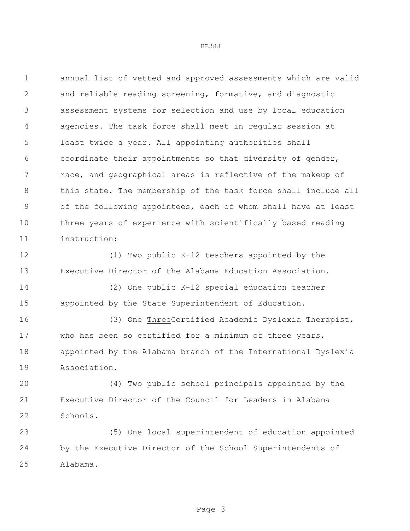annual list of vetted and approved assessments which are valid and reliable reading screening, formative, and diagnostic assessment systems for selection and use by local education agencies. The task force shall meet in regular session at least twice a year. All appointing authorities shall coordinate their appointments so that diversity of gender, race, and geographical areas is reflective of the makeup of this state. The membership of the task force shall include all of the following appointees, each of whom shall have at least three years of experience with scientifically based reading instruction:

 (1) Two public K-12 teachers appointed by the Executive Director of the Alabama Education Association.

 (2) One public K-12 special education teacher appointed by the State Superintendent of Education.

16 (3) One ThreeCertified Academic Dyslexia Therapist, who has been so certified for a minimum of three years, appointed by the Alabama branch of the International Dyslexia Association.

 (4) Two public school principals appointed by the Executive Director of the Council for Leaders in Alabama Schools.

 (5) One local superintendent of education appointed by the Executive Director of the School Superintendents of Alabama.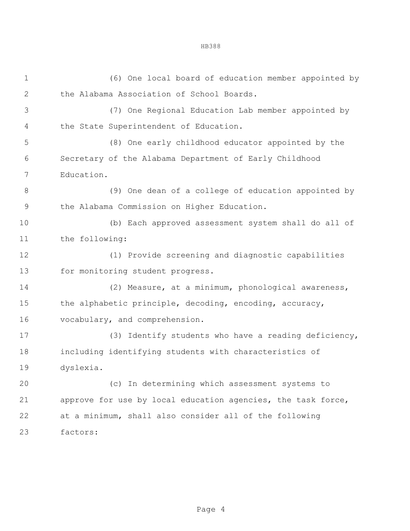(6) One local board of education member appointed by the Alabama Association of School Boards. (7) One Regional Education Lab member appointed by the State Superintendent of Education. (8) One early childhood educator appointed by the Secretary of the Alabama Department of Early Childhood Education. (9) One dean of a college of education appointed by the Alabama Commission on Higher Education. (b) Each approved assessment system shall do all of the following: (1) Provide screening and diagnostic capabilities 13 for monitoring student progress. (2) Measure, at a minimum, phonological awareness, the alphabetic principle, decoding, encoding, accuracy, vocabulary, and comprehension. (3) Identify students who have a reading deficiency, including identifying students with characteristics of dyslexia. (c) In determining which assessment systems to approve for use by local education agencies, the task force, at a minimum, shall also consider all of the following factors: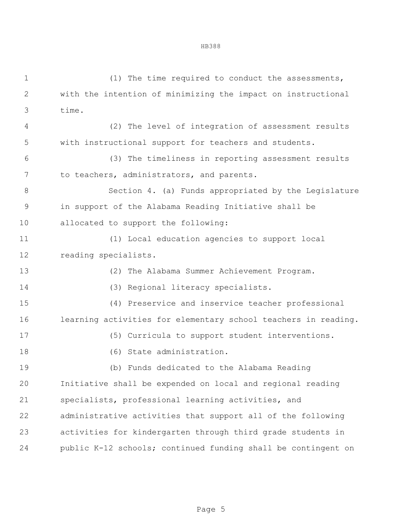(1) The time required to conduct the assessments, with the intention of minimizing the impact on instructional time. (2) The level of integration of assessment results with instructional support for teachers and students. (3) The timeliness in reporting assessment results 7 to teachers, administrators, and parents. Section 4. (a) Funds appropriated by the Legislature in support of the Alabama Reading Initiative shall be allocated to support the following: (1) Local education agencies to support local reading specialists. (2) The Alabama Summer Achievement Program. (3) Regional literacy specialists. (4) Preservice and inservice teacher professional learning activities for elementary school teachers in reading. (5) Curricula to support student interventions. (6) State administration. (b) Funds dedicated to the Alabama Reading Initiative shall be expended on local and regional reading specialists, professional learning activities, and administrative activities that support all of the following activities for kindergarten through third grade students in public K-12 schools; continued funding shall be contingent on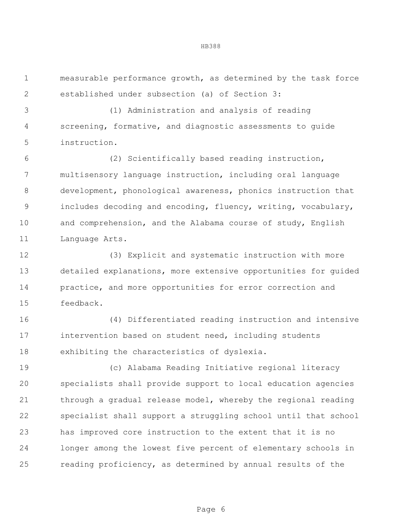measurable performance growth, as determined by the task force established under subsection (a) of Section 3:

 (1) Administration and analysis of reading screening, formative, and diagnostic assessments to guide instruction.

 (2) Scientifically based reading instruction, multisensory language instruction, including oral language development, phonological awareness, phonics instruction that includes decoding and encoding, fluency, writing, vocabulary, and comprehension, and the Alabama course of study, English 11 Language Arts.

 (3) Explicit and systematic instruction with more detailed explanations, more extensive opportunities for guided practice, and more opportunities for error correction and feedback.

 (4) Differentiated reading instruction and intensive intervention based on student need, including students exhibiting the characteristics of dyslexia.

 (c) Alabama Reading Initiative regional literacy specialists shall provide support to local education agencies 21 through a gradual release model, whereby the regional reading specialist shall support a struggling school until that school has improved core instruction to the extent that it is no longer among the lowest five percent of elementary schools in reading proficiency, as determined by annual results of the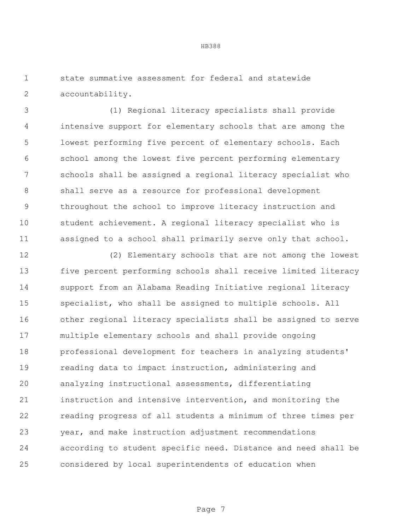state summative assessment for federal and statewide accountability.

 (1) Regional literacy specialists shall provide intensive support for elementary schools that are among the lowest performing five percent of elementary schools. Each school among the lowest five percent performing elementary schools shall be assigned a regional literacy specialist who shall serve as a resource for professional development throughout the school to improve literacy instruction and student achievement. A regional literacy specialist who is assigned to a school shall primarily serve only that school.

 (2) Elementary schools that are not among the lowest five percent performing schools shall receive limited literacy support from an Alabama Reading Initiative regional literacy specialist, who shall be assigned to multiple schools. All other regional literacy specialists shall be assigned to serve multiple elementary schools and shall provide ongoing professional development for teachers in analyzing students' reading data to impact instruction, administering and analyzing instructional assessments, differentiating instruction and intensive intervention, and monitoring the reading progress of all students a minimum of three times per year, and make instruction adjustment recommendations according to student specific need. Distance and need shall be considered by local superintendents of education when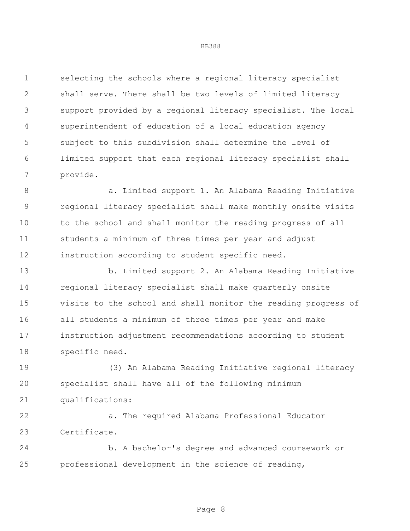selecting the schools where a regional literacy specialist shall serve. There shall be two levels of limited literacy support provided by a regional literacy specialist. The local superintendent of education of a local education agency subject to this subdivision shall determine the level of limited support that each regional literacy specialist shall provide.

8 a. Limited support 1. An Alabama Reading Initiative regional literacy specialist shall make monthly onsite visits to the school and shall monitor the reading progress of all students a minimum of three times per year and adjust instruction according to student specific need.

 b. Limited support 2. An Alabama Reading Initiative regional literacy specialist shall make quarterly onsite visits to the school and shall monitor the reading progress of all students a minimum of three times per year and make instruction adjustment recommendations according to student specific need.

 (3) An Alabama Reading Initiative regional literacy specialist shall have all of the following minimum qualifications:

 a. The required Alabama Professional Educator Certificate.

 b. A bachelor's degree and advanced coursework or professional development in the science of reading,

# HB388

Page 8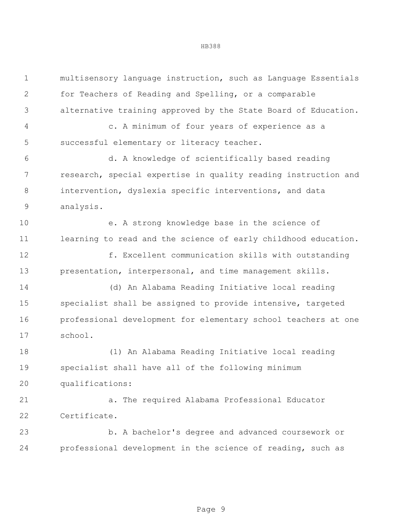| $\mathbf 1$   | multisensory language instruction, such as Language Essentials |
|---------------|----------------------------------------------------------------|
| $\mathbf{2}$  | for Teachers of Reading and Spelling, or a comparable          |
| 3             | alternative training approved by the State Board of Education. |
| 4             | c. A minimum of four years of experience as a                  |
| 5             | successful elementary or literacy teacher.                     |
| 6             | d. A knowledge of scientifically based reading                 |
| 7             | research, special expertise in quality reading instruction and |
| $8\,$         | intervention, dyslexia specific interventions, and data        |
| $\mathcal{G}$ | analysis.                                                      |
| 10            | e. A strong knowledge base in the science of                   |
| 11            | learning to read and the science of early childhood education. |
| 12            | f. Excellent communication skills with outstanding             |
| 13            | presentation, interpersonal, and time management skills.       |
| 14            | (d) An Alabama Reading Initiative local reading                |
| 15            | specialist shall be assigned to provide intensive, targeted    |
| 16            | professional development for elementary school teachers at one |
| 17            | school.                                                        |
| 18            | (1) An Alabama Reading Initiative local reading                |
| 19            | specialist shall have all of the following minimum             |
| 20            | qualifications:                                                |
| 21            | a. The required Alabama Professional Educator                  |
| 22            | Certificate.                                                   |
| 23            | b. A bachelor's degree and advanced coursework or              |
| 24            | professional development in the science of reading, such as    |
|               |                                                                |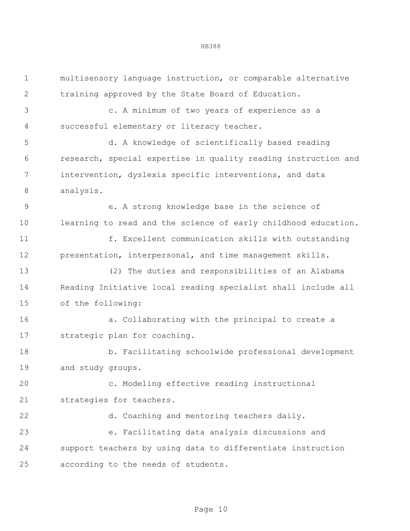multisensory language instruction, or comparable alternative training approved by the State Board of Education.

 c. A minimum of two years of experience as a successful elementary or literacy teacher.

 d. A knowledge of scientifically based reading research, special expertise in quality reading instruction and intervention, dyslexia specific interventions, and data analysis.

 e. A strong knowledge base in the science of learning to read and the science of early childhood education.

 f. Excellent communication skills with outstanding presentation, interpersonal, and time management skills.

 (2) The duties and responsibilities of an Alabama Reading Initiative local reading specialist shall include all of the following:

 a. Collaborating with the principal to create a strategic plan for coaching.

 b. Facilitating schoolwide professional development and study groups.

 c. Modeling effective reading instructional strategies for teachers.

 d. Coaching and mentoring teachers daily. e. Facilitating data analysis discussions and support teachers by using data to differentiate instruction according to the needs of students.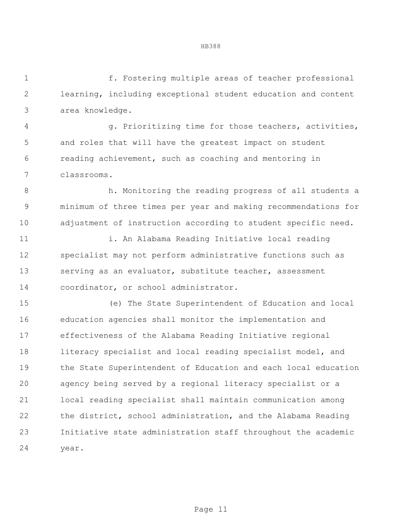f. Fostering multiple areas of teacher professional learning, including exceptional student education and content area knowledge.

 g. Prioritizing time for those teachers, activities, and roles that will have the greatest impact on student reading achievement, such as coaching and mentoring in classrooms.

 h. Monitoring the reading progress of all students a minimum of three times per year and making recommendations for adjustment of instruction according to student specific need.

 i. An Alabama Reading Initiative local reading specialist may not perform administrative functions such as serving as an evaluator, substitute teacher, assessment coordinator, or school administrator.

 (e) The State Superintendent of Education and local education agencies shall monitor the implementation and effectiveness of the Alabama Reading Initiative regional literacy specialist and local reading specialist model, and the State Superintendent of Education and each local education agency being served by a regional literacy specialist or a local reading specialist shall maintain communication among the district, school administration, and the Alabama Reading Initiative state administration staff throughout the academic year.

Page 11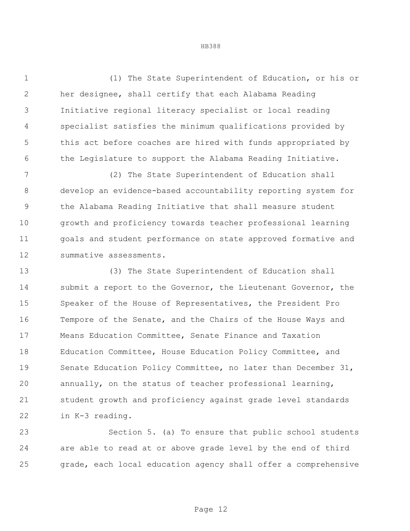(1) The State Superintendent of Education, or his or her designee, shall certify that each Alabama Reading Initiative regional literacy specialist or local reading specialist satisfies the minimum qualifications provided by this act before coaches are hired with funds appropriated by 6 the Legislature to support the Alabama Reading Initiative.

 (2) The State Superintendent of Education shall develop an evidence-based accountability reporting system for the Alabama Reading Initiative that shall measure student growth and proficiency towards teacher professional learning 11 goals and student performance on state approved formative and summative assessments.

 (3) The State Superintendent of Education shall 14 submit a report to the Governor, the Lieutenant Governor, the Speaker of the House of Representatives, the President Pro Tempore of the Senate, and the Chairs of the House Ways and Means Education Committee, Senate Finance and Taxation Education Committee, House Education Policy Committee, and Senate Education Policy Committee, no later than December 31, annually, on the status of teacher professional learning, student growth and proficiency against grade level standards in K-3 reading.

 Section 5. (a) To ensure that public school students are able to read at or above grade level by the end of third grade, each local education agency shall offer a comprehensive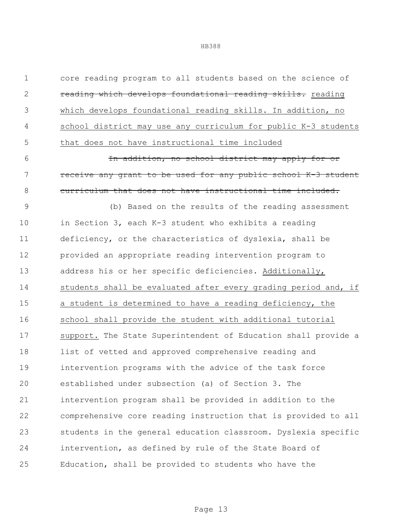| $\mathbf 1$  | core reading program to all students based on the science of   |
|--------------|----------------------------------------------------------------|
| $\mathbf{2}$ | reading which develops foundational reading skills. reading    |
| 3            | which develops foundational reading skills. In addition, no    |
| 4            | school district may use any curriculum for public K-3 students |
| 5            | that does not have instructional time included                 |
| 6            | In addition, no school district may apply for or               |
| 7            | receive any grant to be used for any public school K-3 student |
| $8\,$        | curriculum that does not have instructional time included.     |
| $\mathsf 9$  | (b) Based on the results of the reading assessment             |
| 10           | in Section 3, each K-3 student who exhibits a reading          |
| 11           | deficiency, or the characteristics of dyslexia, shall be       |
| 12           | provided an appropriate reading intervention program to        |
| 13           | address his or her specific deficiencies. Additionally,        |
| 14           | students shall be evaluated after every grading period and, if |
| 15           | a student is determined to have a reading deficiency, the      |
| 16           | school shall provide the student with additional tutorial      |
| 17           | support. The State Superintendent of Education shall provide a |
| 18           | list of vetted and approved comprehensive reading and          |
| 19           | intervention programs with the advice of the task force        |
| 20           | established under subsection (a) of Section 3. The             |
| 21           | intervention program shall be provided in addition to the      |
| 22           | comprehensive core reading instruction that is provided to all |
| 23           | students in the general education classroom. Dyslexia specific |
| 24           | intervention, as defined by rule of the State Board of         |
| 25           | Education, shall be provided to students who have the          |
|              |                                                                |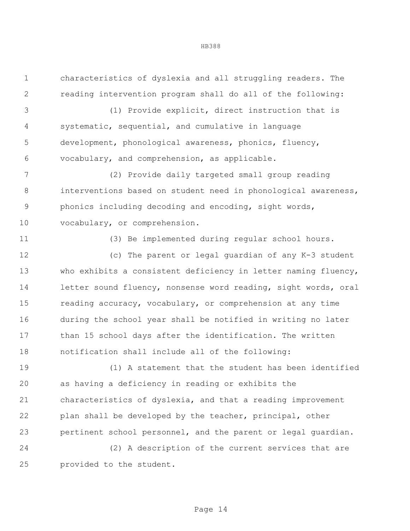characteristics of dyslexia and all struggling readers. The reading intervention program shall do all of the following:

 (1) Provide explicit, direct instruction that is systematic, sequential, and cumulative in language development, phonological awareness, phonics, fluency, vocabulary, and comprehension, as applicable.

 (2) Provide daily targeted small group reading 8 interventions based on student need in phonological awareness, phonics including decoding and encoding, sight words, vocabulary, or comprehension.

(3) Be implemented during regular school hours.

 (c) The parent or legal guardian of any K-3 student who exhibits a consistent deficiency in letter naming fluency, letter sound fluency, nonsense word reading, sight words, oral reading accuracy, vocabulary, or comprehension at any time during the school year shall be notified in writing no later 17 than 15 school days after the identification. The written notification shall include all of the following:

 (1) A statement that the student has been identified as having a deficiency in reading or exhibits the characteristics of dyslexia, and that a reading improvement plan shall be developed by the teacher, principal, other pertinent school personnel, and the parent or legal guardian.

 (2) A description of the current services that are provided to the student.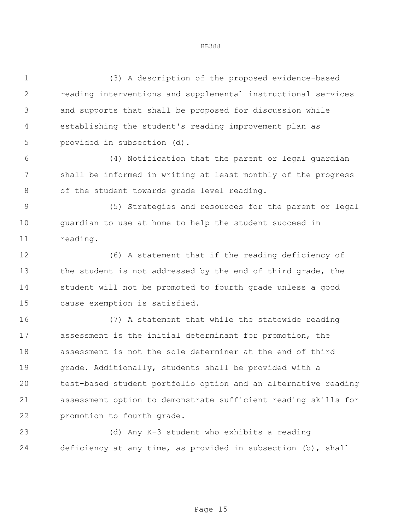(3) A description of the proposed evidence-based reading interventions and supplemental instructional services and supports that shall be proposed for discussion while establishing the student's reading improvement plan as provided in subsection (d). (4) Notification that the parent or legal guardian shall be informed in writing at least monthly of the progress 8 of the student towards grade level reading. (5) Strategies and resources for the parent or legal guardian to use at home to help the student succeed in reading. (6) A statement that if the reading deficiency of 13 the student is not addressed by the end of third grade, the student will not be promoted to fourth grade unless a good cause exemption is satisfied. (7) A statement that while the statewide reading assessment is the initial determinant for promotion, the assessment is not the sole determiner at the end of third grade. Additionally, students shall be provided with a test-based student portfolio option and an alternative reading assessment option to demonstrate sufficient reading skills for promotion to fourth grade.

 (d) Any K-3 student who exhibits a reading deficiency at any time, as provided in subsection (b), shall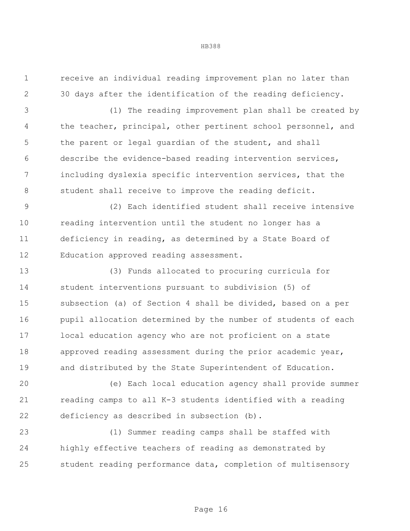receive an individual reading improvement plan no later than 30 days after the identification of the reading deficiency.

 (1) The reading improvement plan shall be created by the teacher, principal, other pertinent school personnel, and 5 the parent or legal guardian of the student, and shall describe the evidence-based reading intervention services, including dyslexia specific intervention services, that the student shall receive to improve the reading deficit.

 (2) Each identified student shall receive intensive reading intervention until the student no longer has a deficiency in reading, as determined by a State Board of Education approved reading assessment.

 (3) Funds allocated to procuring curricula for student interventions pursuant to subdivision (5) of subsection (a) of Section 4 shall be divided, based on a per pupil allocation determined by the number of students of each local education agency who are not proficient on a state approved reading assessment during the prior academic year, and distributed by the State Superintendent of Education.

 (e) Each local education agency shall provide summer reading camps to all K-3 students identified with a reading deficiency as described in subsection (b).

 (1) Summer reading camps shall be staffed with highly effective teachers of reading as demonstrated by student reading performance data, completion of multisensory

### HB388

Page 16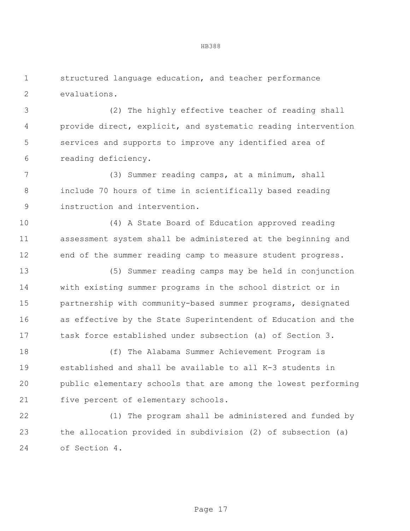structured language education, and teacher performance evaluations.

 (2) The highly effective teacher of reading shall provide direct, explicit, and systematic reading intervention services and supports to improve any identified area of reading deficiency.

 (3) Summer reading camps, at a minimum, shall include 70 hours of time in scientifically based reading instruction and intervention.

 (4) A State Board of Education approved reading assessment system shall be administered at the beginning and 12 end of the summer reading camp to measure student progress.

 (5) Summer reading camps may be held in conjunction with existing summer programs in the school district or in partnership with community-based summer programs, designated as effective by the State Superintendent of Education and the task force established under subsection (a) of Section 3.

 (f) The Alabama Summer Achievement Program is established and shall be available to all K-3 students in public elementary schools that are among the lowest performing five percent of elementary schools.

 (1) The program shall be administered and funded by the allocation provided in subdivision (2) of subsection (a) of Section 4.

Page 17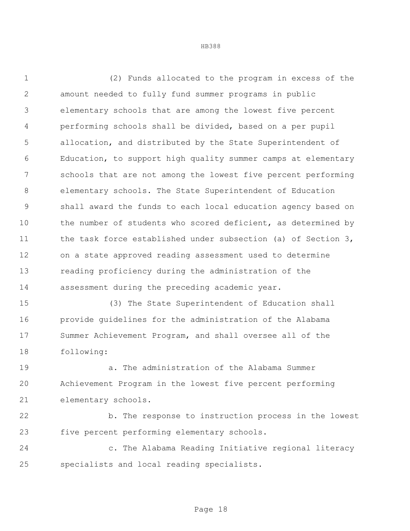(2) Funds allocated to the program in excess of the amount needed to fully fund summer programs in public elementary schools that are among the lowest five percent performing schools shall be divided, based on a per pupil allocation, and distributed by the State Superintendent of Education, to support high quality summer camps at elementary schools that are not among the lowest five percent performing elementary schools. The State Superintendent of Education shall award the funds to each local education agency based on the number of students who scored deficient, as determined by 11 the task force established under subsection (a) of Section 3, on a state approved reading assessment used to determine reading proficiency during the administration of the assessment during the preceding academic year.

 (3) The State Superintendent of Education shall provide guidelines for the administration of the Alabama Summer Achievement Program, and shall oversee all of the following:

 a. The administration of the Alabama Summer Achievement Program in the lowest five percent performing elementary schools.

 b. The response to instruction process in the lowest five percent performing elementary schools.

 c. The Alabama Reading Initiative regional literacy specialists and local reading specialists.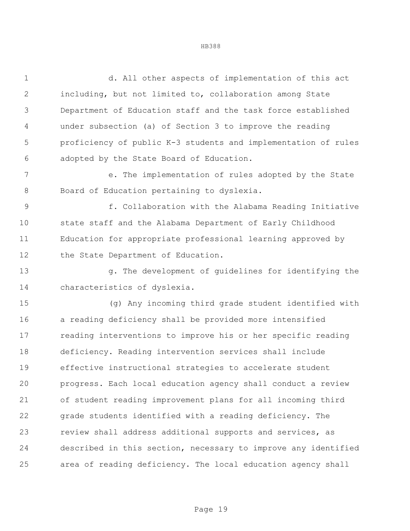d. All other aspects of implementation of this act including, but not limited to, collaboration among State Department of Education staff and the task force established under subsection (a) of Section 3 to improve the reading proficiency of public K-3 students and implementation of rules adopted by the State Board of Education.

 e. The implementation of rules adopted by the State Board of Education pertaining to dyslexia.

 f. Collaboration with the Alabama Reading Initiative state staff and the Alabama Department of Early Childhood Education for appropriate professional learning approved by 12 the State Department of Education.

 g. The development of guidelines for identifying the characteristics of dyslexia.

 (g) Any incoming third grade student identified with a reading deficiency shall be provided more intensified reading interventions to improve his or her specific reading deficiency. Reading intervention services shall include effective instructional strategies to accelerate student progress. Each local education agency shall conduct a review of student reading improvement plans for all incoming third grade students identified with a reading deficiency. The review shall address additional supports and services, as described in this section, necessary to improve any identified area of reading deficiency. The local education agency shall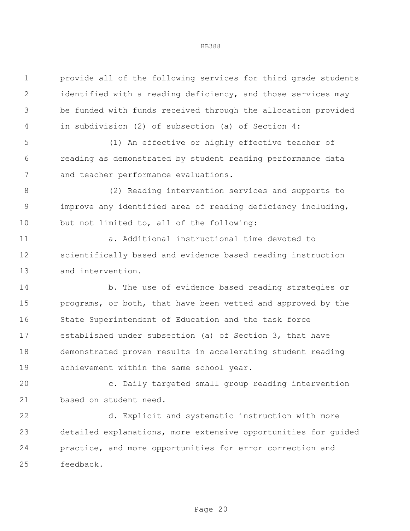provide all of the following services for third grade students identified with a reading deficiency, and those services may be funded with funds received through the allocation provided in subdivision (2) of subsection (a) of Section 4:

 (1) An effective or highly effective teacher of reading as demonstrated by student reading performance data and teacher performance evaluations.

 (2) Reading intervention services and supports to improve any identified area of reading deficiency including, but not limited to, all of the following:

 a. Additional instructional time devoted to scientifically based and evidence based reading instruction and intervention.

14 b. The use of evidence based reading strategies or programs, or both, that have been vetted and approved by the State Superintendent of Education and the task force established under subsection (a) of Section 3, that have demonstrated proven results in accelerating student reading achievement within the same school year.

 c. Daily targeted small group reading intervention based on student need.

 d. Explicit and systematic instruction with more detailed explanations, more extensive opportunities for guided practice, and more opportunities for error correction and feedback.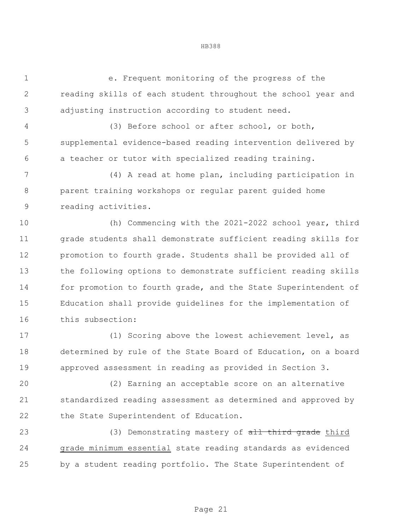e. Frequent monitoring of the progress of the reading skills of each student throughout the school year and adjusting instruction according to student need.

HB388

 (3) Before school or after school, or both, supplemental evidence-based reading intervention delivered by a teacher or tutor with specialized reading training.

 (4) A read at home plan, including participation in parent training workshops or regular parent guided home reading activities.

 (h) Commencing with the 2021-2022 school year, third grade students shall demonstrate sufficient reading skills for promotion to fourth grade. Students shall be provided all of the following options to demonstrate sufficient reading skills 14 for promotion to fourth grade, and the State Superintendent of Education shall provide guidelines for the implementation of this subsection:

 (1) Scoring above the lowest achievement level, as determined by rule of the State Board of Education, on a board approved assessment in reading as provided in Section 3.

 (2) Earning an acceptable score on an alternative standardized reading assessment as determined and approved by 22 the State Superintendent of Education.

23 (3) Demonstrating mastery of all third grade third grade minimum essential state reading standards as evidenced by a student reading portfolio. The State Superintendent of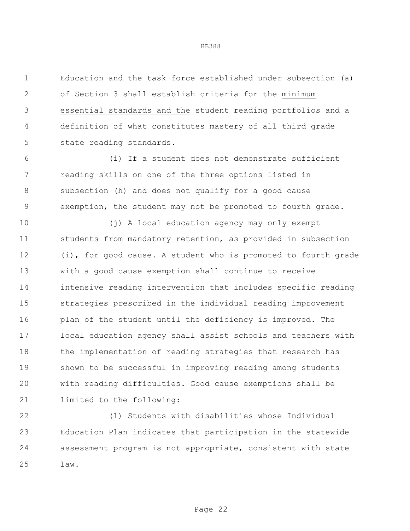Education and the task force established under subsection (a) 2 of Section 3 shall establish criteria for the minimum essential standards and the student reading portfolios and a definition of what constitutes mastery of all third grade state reading standards.

 (i) If a student does not demonstrate sufficient reading skills on one of the three options listed in subsection (h) and does not qualify for a good cause exemption, the student may not be promoted to fourth grade.

 (j) A local education agency may only exempt students from mandatory retention, as provided in subsection (i), for good cause. A student who is promoted to fourth grade with a good cause exemption shall continue to receive intensive reading intervention that includes specific reading strategies prescribed in the individual reading improvement 16 plan of the student until the deficiency is improved. The local education agency shall assist schools and teachers with the implementation of reading strategies that research has shown to be successful in improving reading among students with reading difficulties. Good cause exemptions shall be limited to the following:

 (1) Students with disabilities whose Individual Education Plan indicates that participation in the statewide assessment program is not appropriate, consistent with state law.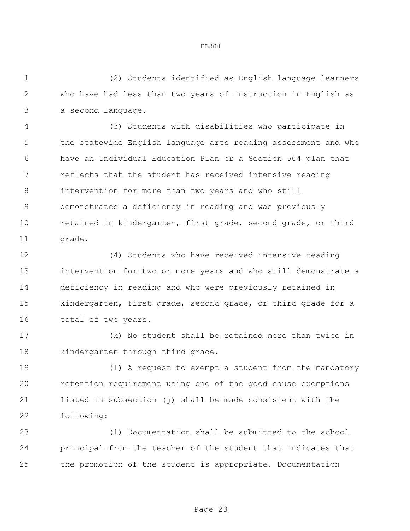(2) Students identified as English language learners who have had less than two years of instruction in English as a second language.

 (3) Students with disabilities who participate in the statewide English language arts reading assessment and who have an Individual Education Plan or a Section 504 plan that reflects that the student has received intensive reading intervention for more than two years and who still demonstrates a deficiency in reading and was previously retained in kindergarten, first grade, second grade, or third 11 grade.

 (4) Students who have received intensive reading intervention for two or more years and who still demonstrate a deficiency in reading and who were previously retained in kindergarten, first grade, second grade, or third grade for a 16 total of two years.

 (k) No student shall be retained more than twice in kindergarten through third grade.

 (l) A request to exempt a student from the mandatory retention requirement using one of the good cause exemptions listed in subsection (j) shall be made consistent with the following:

 (1) Documentation shall be submitted to the school principal from the teacher of the student that indicates that the promotion of the student is appropriate. Documentation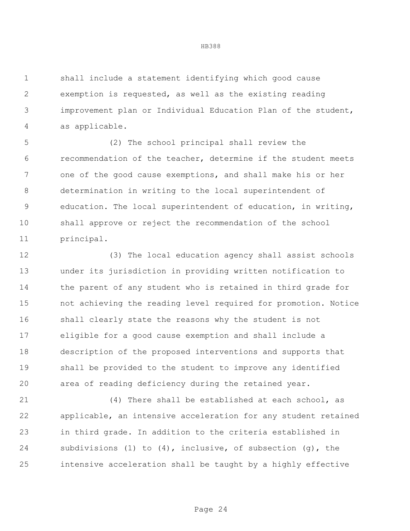shall include a statement identifying which good cause exemption is requested, as well as the existing reading improvement plan or Individual Education Plan of the student, as applicable.

 (2) The school principal shall review the recommendation of the teacher, determine if the student meets one of the good cause exemptions, and shall make his or her determination in writing to the local superintendent of education. The local superintendent of education, in writing, shall approve or reject the recommendation of the school principal.

 (3) The local education agency shall assist schools under its jurisdiction in providing written notification to the parent of any student who is retained in third grade for not achieving the reading level required for promotion. Notice shall clearly state the reasons why the student is not eligible for a good cause exemption and shall include a description of the proposed interventions and supports that shall be provided to the student to improve any identified area of reading deficiency during the retained year.

 (4) There shall be established at each school, as applicable, an intensive acceleration for any student retained in third grade. In addition to the criteria established in subdivisions (1) to (4), inclusive, of subsection (g), the intensive acceleration shall be taught by a highly effective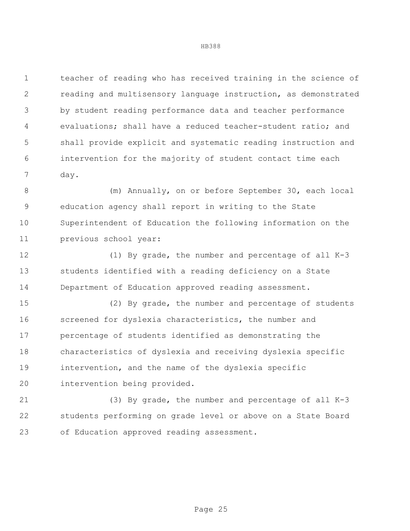teacher of reading who has received training in the science of reading and multisensory language instruction, as demonstrated by student reading performance data and teacher performance evaluations; shall have a reduced teacher-student ratio; and shall provide explicit and systematic reading instruction and intervention for the majority of student contact time each day.

8 (m) Annually, on or before September 30, each local education agency shall report in writing to the State Superintendent of Education the following information on the previous school year:

 (1) By grade, the number and percentage of all K-3 students identified with a reading deficiency on a State Department of Education approved reading assessment.

 (2) By grade, the number and percentage of students screened for dyslexia characteristics, the number and percentage of students identified as demonstrating the characteristics of dyslexia and receiving dyslexia specific intervention, and the name of the dyslexia specific intervention being provided.

 (3) By grade, the number and percentage of all K-3 students performing on grade level or above on a State Board of Education approved reading assessment.

Page 25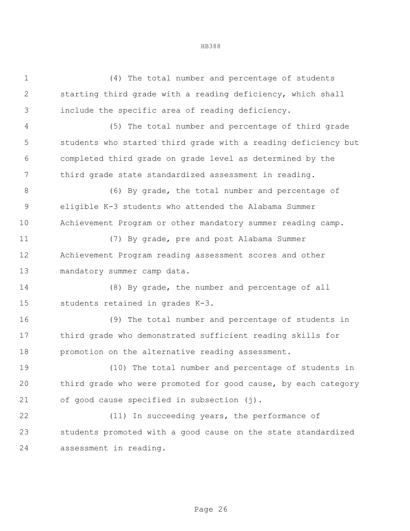| $\mathbf 1$  | (4) The total number and percentage of students                |
|--------------|----------------------------------------------------------------|
| $\mathbf{2}$ | starting third grade with a reading deficiency, which shall    |
| 3            | include the specific area of reading deficiency.               |
| 4            | (5) The total number and percentage of third grade             |
| 5            | students who started third grade with a reading deficiency but |
| 6            | completed third grade on grade level as determined by the      |
| 7            | third grade state standardized assessment in reading.          |
| $8\,$        | (6) By grade, the total number and percentage of               |
| $\mathsf 9$  | eligible K-3 students who attended the Alabama Summer          |
| 10           | Achievement Program or other mandatory summer reading camp.    |
| 11           | (7) By grade, pre and post Alabama Summer                      |
| 12           | Achievement Program reading assessment scores and other        |
| 13           | mandatory summer camp data.                                    |
| 14           | (8) By grade, the number and percentage of all                 |
| 15           | students retained in grades K-3.                               |
| 16           | (9) The total number and percentage of students in             |
| 17           | third grade who demonstrated sufficient reading skills for     |
| 18           | promotion on the alternative reading assessment.               |
| 19           | (10) The total number and percentage of students in            |
| 20           | third grade who were promoted for good cause, by each category |
| 21           | of good cause specified in subsection (j).                     |
| 22           | (11) In succeeding years, the performance of                   |
| 23           | students promoted with a good cause on the state standardized  |
| 24           | assessment in reading.                                         |
|              |                                                                |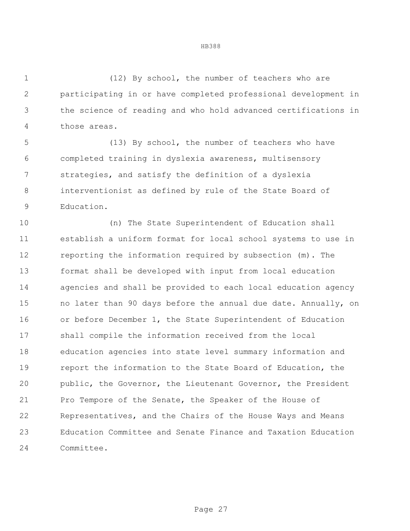(12) By school, the number of teachers who are participating in or have completed professional development in the science of reading and who hold advanced certifications in those areas.

 (13) By school, the number of teachers who have completed training in dyslexia awareness, multisensory strategies, and satisfy the definition of a dyslexia interventionist as defined by rule of the State Board of Education.

 (n) The State Superintendent of Education shall establish a uniform format for local school systems to use in reporting the information required by subsection (m). The format shall be developed with input from local education agencies and shall be provided to each local education agency no later than 90 days before the annual due date. Annually, on or before December 1, the State Superintendent of Education shall compile the information received from the local education agencies into state level summary information and report the information to the State Board of Education, the public, the Governor, the Lieutenant Governor, the President Pro Tempore of the Senate, the Speaker of the House of Representatives, and the Chairs of the House Ways and Means Education Committee and Senate Finance and Taxation Education Committee.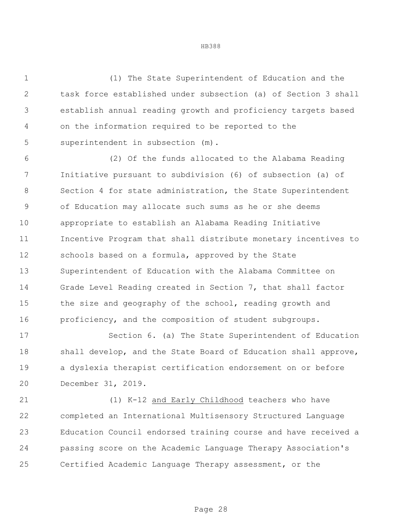(1) The State Superintendent of Education and the task force established under subsection (a) of Section 3 shall establish annual reading growth and proficiency targets based on the information required to be reported to the superintendent in subsection (m).

 (2) Of the funds allocated to the Alabama Reading Initiative pursuant to subdivision (6) of subsection (a) of Section 4 for state administration, the State Superintendent of Education may allocate such sums as he or she deems appropriate to establish an Alabama Reading Initiative Incentive Program that shall distribute monetary incentives to schools based on a formula, approved by the State Superintendent of Education with the Alabama Committee on Grade Level Reading created in Section 7, that shall factor the size and geography of the school, reading growth and proficiency, and the composition of student subgroups.

 Section 6. (a) The State Superintendent of Education shall develop, and the State Board of Education shall approve, a dyslexia therapist certification endorsement on or before December 31, 2019.

 (1) K-12 and Early Childhood teachers who have completed an International Multisensory Structured Language Education Council endorsed training course and have received a passing score on the Academic Language Therapy Association's Certified Academic Language Therapy assessment, or the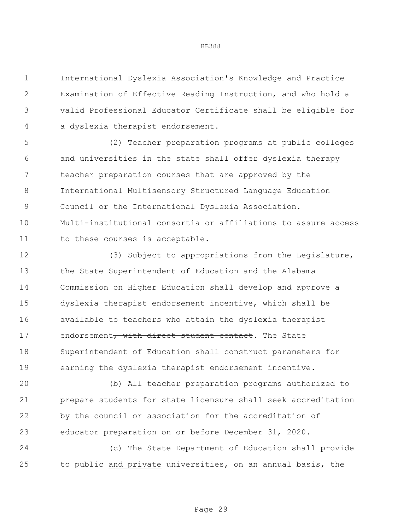International Dyslexia Association's Knowledge and Practice Examination of Effective Reading Instruction, and who hold a valid Professional Educator Certificate shall be eligible for a dyslexia therapist endorsement.

 (2) Teacher preparation programs at public colleges and universities in the state shall offer dyslexia therapy teacher preparation courses that are approved by the International Multisensory Structured Language Education Council or the International Dyslexia Association. Multi-institutional consortia or affiliations to assure access to these courses is acceptable.

 (3) Subject to appropriations from the Legislature, the State Superintendent of Education and the Alabama Commission on Higher Education shall develop and approve a dyslexia therapist endorsement incentive, which shall be available to teachers who attain the dyslexia therapist 17 endorsement, with direct student contact. The State Superintendent of Education shall construct parameters for earning the dyslexia therapist endorsement incentive.

 (b) All teacher preparation programs authorized to prepare students for state licensure shall seek accreditation by the council or association for the accreditation of educator preparation on or before December 31, 2020.

 (c) The State Department of Education shall provide to public and private universities, on an annual basis, the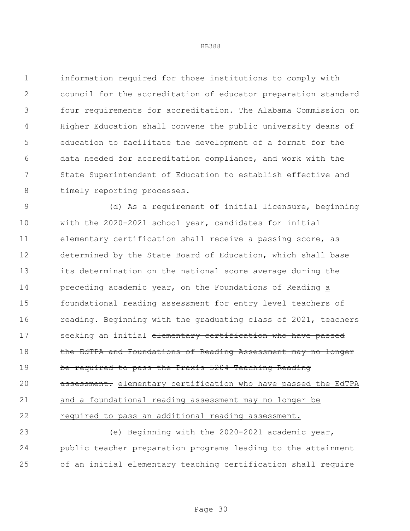information required for those institutions to comply with council for the accreditation of educator preparation standard four requirements for accreditation. The Alabama Commission on Higher Education shall convene the public university deans of education to facilitate the development of a format for the data needed for accreditation compliance, and work with the State Superintendent of Education to establish effective and 8 timely reporting processes.

 (d) As a requirement of initial licensure, beginning with the 2020-2021 school year, candidates for initial elementary certification shall receive a passing score, as determined by the State Board of Education, which shall base its determination on the national score average during the 14 preceding academic year, on the Foundations of Reading a foundational reading assessment for entry level teachers of 16 reading. Beginning with the graduating class of 2021, teachers 17 seeking an initial elementary certification who have passed 18 the EdTPA and Foundations of Reading Assessment may no longer be required to pass the Praxis 5204 Teaching Reading **assessment.** elementary certification who have passed the EdTPA and a foundational reading assessment may no longer be required to pass an additional reading assessment.

 (e) Beginning with the 2020-2021 academic year, public teacher preparation programs leading to the attainment of an initial elementary teaching certification shall require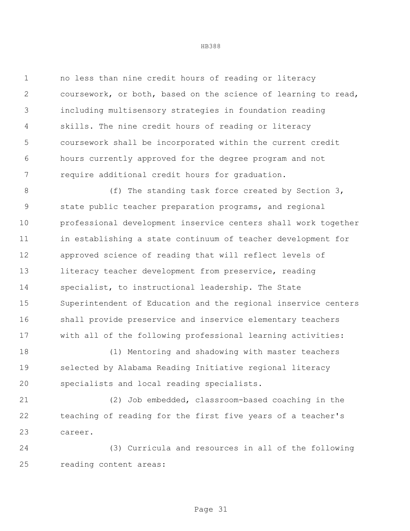no less than nine credit hours of reading or literacy coursework, or both, based on the science of learning to read, including multisensory strategies in foundation reading skills. The nine credit hours of reading or literacy coursework shall be incorporated within the current credit hours currently approved for the degree program and not require additional credit hours for graduation.

8 (f) The standing task force created by Section 3, state public teacher preparation programs, and regional professional development inservice centers shall work together in establishing a state continuum of teacher development for approved science of reading that will reflect levels of 13 literacy teacher development from preservice, reading specialist, to instructional leadership. The State Superintendent of Education and the regional inservice centers shall provide preservice and inservice elementary teachers with all of the following professional learning activities:

 (1) Mentoring and shadowing with master teachers selected by Alabama Reading Initiative regional literacy specialists and local reading specialists.

 (2) Job embedded, classroom-based coaching in the teaching of reading for the first five years of a teacher's career.

 (3) Curricula and resources in all of the following reading content areas: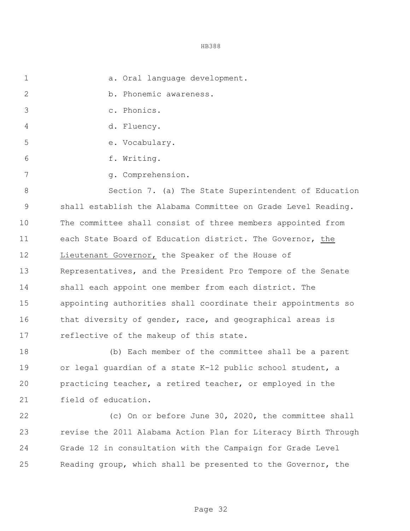1 a. Oral language development.

2 b. Phonemic awareness.

- c. Phonics.
- d. Fluency.
- e. Vocabulary.
- 6 f. Writing.
- 7 g. Comprehension.

 Section 7. (a) The State Superintendent of Education shall establish the Alabama Committee on Grade Level Reading. The committee shall consist of three members appointed from each State Board of Education district. The Governor, the Lieutenant Governor, the Speaker of the House of Representatives, and the President Pro Tempore of the Senate shall each appoint one member from each district. The appointing authorities shall coordinate their appointments so 16 that diversity of gender, race, and geographical areas is reflective of the makeup of this state.

 (b) Each member of the committee shall be a parent or legal guardian of a state K-12 public school student, a practicing teacher, a retired teacher, or employed in the field of education.

 (c) On or before June 30, 2020, the committee shall revise the 2011 Alabama Action Plan for Literacy Birth Through Grade 12 in consultation with the Campaign for Grade Level Reading group, which shall be presented to the Governor, the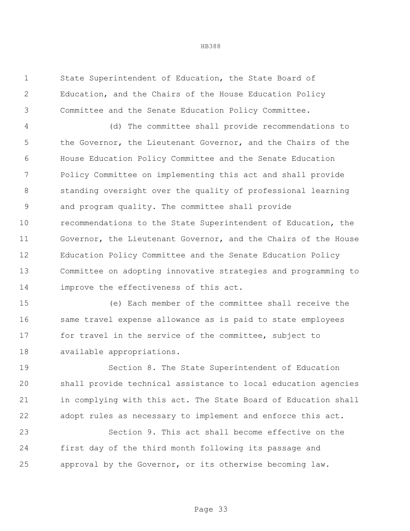State Superintendent of Education, the State Board of Education, and the Chairs of the House Education Policy Committee and the Senate Education Policy Committee.

 (d) The committee shall provide recommendations to 5 the Governor, the Lieutenant Governor, and the Chairs of the House Education Policy Committee and the Senate Education Policy Committee on implementing this act and shall provide standing oversight over the quality of professional learning and program quality. The committee shall provide recommendations to the State Superintendent of Education, the Governor, the Lieutenant Governor, and the Chairs of the House Education Policy Committee and the Senate Education Policy Committee on adopting innovative strategies and programming to improve the effectiveness of this act.

 (e) Each member of the committee shall receive the same travel expense allowance as is paid to state employees for travel in the service of the committee, subject to available appropriations.

 Section 8. The State Superintendent of Education shall provide technical assistance to local education agencies in complying with this act. The State Board of Education shall adopt rules as necessary to implement and enforce this act.

 Section 9. This act shall become effective on the first day of the third month following its passage and approval by the Governor, or its otherwise becoming law.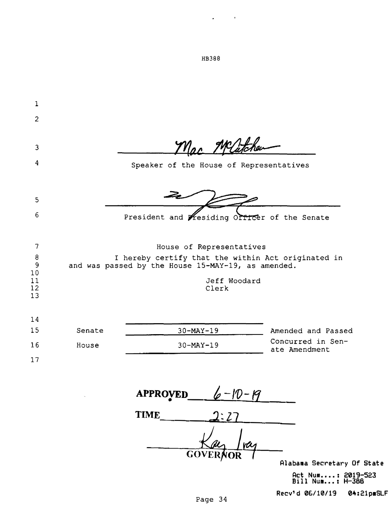| 1              |        |                                                    |                          |                                                    |
|----------------|--------|----------------------------------------------------|--------------------------|----------------------------------------------------|
| $\overline{c}$ |        |                                                    |                          |                                                    |
|                |        |                                                    |                          |                                                    |
| 3              |        |                                                    | Mac Melitchen            |                                                    |
| 4              |        | Speaker of the House of Representatives            |                          |                                                    |
|                |        |                                                    |                          |                                                    |
| 5              |        |                                                    |                          |                                                    |
| 6              |        | President and Wesiding Officer of the Senate       |                          |                                                    |
|                |        |                                                    |                          |                                                    |
| 7              |        |                                                    | House of Representatives |                                                    |
| $\theta$<br>9  |        | and was passed by the House 15-MAY-19, as amended. |                          | I hereby certify that the within Act originated in |
| 10<br>11       |        |                                                    | Jeff Woodard             |                                                    |
| 12<br>13       |        |                                                    | Clerk                    |                                                    |
|                |        |                                                    |                          |                                                    |
| 14<br>15       | Senate |                                                    |                          | Amended and Passed                                 |
| 16             | House  | $30 - MAX - 19$<br>$30 - \text{MAX} - 19$          |                          | Concurred in Sen-                                  |
| 17             |        |                                                    |                          | ate Amendment                                      |
|                |        |                                                    |                          |                                                    |
|                |        |                                                    |                          |                                                    |
|                |        | <b>APPROVED_</b>                                   | $6 - 10 - 19$            |                                                    |
|                |        | <b>TIME</b>                                        |                          |                                                    |

**GOVERNOR** 

**Alabama Secretary Of State** 

**Act Num .•.. : 2019-523 Bill Num ... : H-388** 

**Recv'd 06/10/19 04:21p■SLF** 

HB388

 $\omega_{\rm{max}}=0.000$